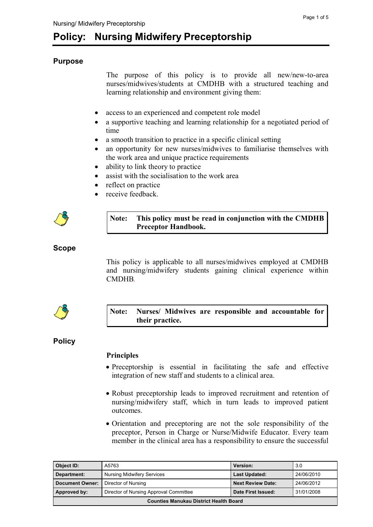# **Purpose**

The purpose of this policy is to provide all new/new-to-area nurses/midwives/students at CMDHB with a structured teaching and learning relationship and environment giving them:

- access to an experienced and competent role model
- a supportive teaching and learning relationship for a negotiated period of time
- a smooth transition to practice in a specific clinical setting
- an opportunity for new nurses/midwives to familiarise themselves with the work area and unique practice requirements
- ability to link theory to practice
- assist with the socialisation to the work area
- reflect on practice
- receive feedback.



## **Note: This policy must be read in conjunction with the CMDHB Preceptor Handbook.**

# **Scope**

This policy is applicable to all nurses/midwives employed at CMDHB and nursing/midwifery students gaining clinical experience within CMDHB*.*



## **Note: Nurses/ Midwives are responsible and accountable for their practice.**

# **Policy**

## **Principles**

- Preceptorship is essential in facilitating the safe and effective integration of new staff and students to a clinical area.
- Robust preceptorship leads to improved recruitment and retention of nursing/midwifery staff, which in turn leads to improved patient outcomes.
- Orientation and preceptoring are not the sole responsibility of the preceptor, Person in Charge or Nurse/Midwife Educator. Every team member in the clinical area has a responsibility to ensure the successful

| Object ID:                                    | A5763                                  | <b>Version:</b>          | 3.0        |
|-----------------------------------------------|----------------------------------------|--------------------------|------------|
| Department:                                   | <b>Nursing Midwifery Services</b>      | <b>Last Updated:</b>     | 24/06/2010 |
| <b>Document Owner:</b>                        | Director of Nursing                    | <b>Next Review Date:</b> | 24/06/2012 |
| Approved by:                                  | Director of Nursing Approval Committee | Date First Issued:       | 31/01/2008 |
| <b>Counties Manukau District Health Board</b> |                                        |                          |            |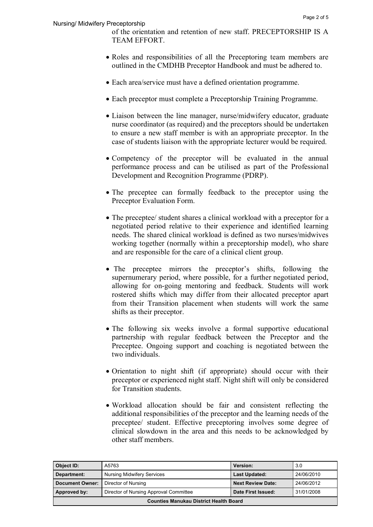of the orientation and retention of new staff. PRECEPTORSHIP IS A TEAM EFFORT.

- Roles and responsibilities of all the Preceptoring team members are outlined in the CMDHB Preceptor Handbook and must be adhered to.
- Each area/service must have a defined orientation programme.
- Each preceptor must complete a Preceptorship Training Programme.
- Liaison between the line manager, nurse/midwifery educator, graduate nurse coordinator (as required) and the preceptors should be undertaken to ensure a new staff member is with an appropriate preceptor. In the case of students liaison with the appropriate lecturer would be required.
- Competency of the preceptor will be evaluated in the annual performance process and can be utilised as part of the Professional Development and Recognition Programme (PDRP).
- The preceptee can formally feedback to the preceptor using the Preceptor Evaluation Form.
- The preceptee/ student shares a clinical workload with a preceptor for a negotiated period relative to their experience and identified learning needs. The shared clinical workload is defined as two nurses/midwives working together (normally within a preceptorship model), who share and are responsible for the care of a clinical client group.
- The preceptee mirrors the preceptor's shifts, following the supernumerary period, where possible, for a further negotiated period, allowing for on-going mentoring and feedback. Students will work rostered shifts which may differ from their allocated preceptor apart from their Transition placement when students will work the same shifts as their preceptor.
- The following six weeks involve a formal supportive educational partnership with regular feedback between the Preceptor and the Preceptee. Ongoing support and coaching is negotiated between the two individuals.
- Orientation to night shift (if appropriate) should occur with their preceptor or experienced night staff. Night shift will only be considered for Transition students.
- Workload allocation should be fair and consistent reflecting the additional responsibilities of the preceptor and the learning needs of the preceptee/ student. Effective preceptoring involves some degree of clinical slowdown in the area and this needs to be acknowledged by other staff members.

| Object ID:                                    | A5763                                  | <b>Version:</b>          | 3.0        |
|-----------------------------------------------|----------------------------------------|--------------------------|------------|
| Department:                                   | <b>Nursing Midwifery Services</b>      | <b>Last Updated:</b>     | 24/06/2010 |
| Document Owner:                               | Director of Nursing                    | <b>Next Review Date:</b> | 24/06/2012 |
| Approved by:                                  | Director of Nursing Approval Committee | Date First Issued:       | 31/01/2008 |
| <b>Counties Manukau District Health Board</b> |                                        |                          |            |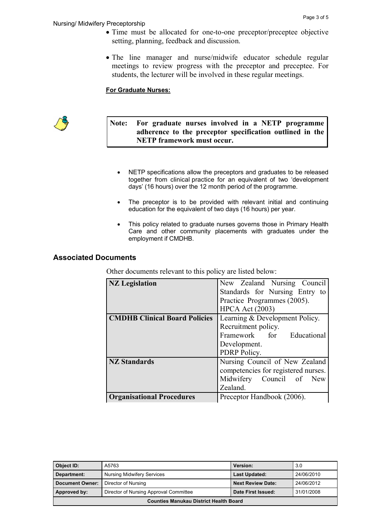- Time must be allocated for one-to-one preceptor/preceptee objective setting, planning, feedback and discussion.
- The line manager and nurse/midwife educator schedule regular meetings to review progress with the preceptor and preceptee. For students, the lecturer will be involved in these regular meetings.

#### **For Graduate Nurses:**



## **Note: For graduate nurses involved in a NETP programme adherence to the preceptor specification outlined in the NETP framework must occur.**

- NETP specifications allow the preceptors and graduates to be released together from clinical practice for an equivalent of two 'development days' (16 hours) over the 12 month period of the programme.
- The preceptor is to be provided with relevant initial and continuing education for the equivalent of two days (16 hours) per year.
- This policy related to graduate nurses governs those in Primary Health Care and other community placements with graduates under the employment if CMDHB.

## **Associated Documents**

Other documents relevant to this policy are listed below:

| <b>NZ</b> Legislation                | New Zealand Nursing Council         |  |
|--------------------------------------|-------------------------------------|--|
|                                      | Standards for Nursing Entry to      |  |
|                                      | Practice Programmes (2005).         |  |
|                                      | <b>HPCA Act (2003)</b>              |  |
| <b>CMDHB Clinical Board Policies</b> | Learning & Development Policy.      |  |
|                                      | Recruitment policy.                 |  |
|                                      | Framework for Educational           |  |
|                                      | Development.                        |  |
|                                      | PDRP Policy.                        |  |
| <b>NZ Standards</b>                  | Nursing Council of New Zealand      |  |
|                                      | competencies for registered nurses. |  |
|                                      | Midwifery Council of New            |  |
|                                      | Zealand.                            |  |
| <b>Organisational Procedures</b>     | Preceptor Handbook (2006).          |  |

| Object ID:                                    | A5763                                  | Version:                 | 3.0        |
|-----------------------------------------------|----------------------------------------|--------------------------|------------|
| Department:                                   | <b>Nursing Midwifery Services</b>      | <b>Last Updated:</b>     | 24/06/2010 |
| <b>Document Owner:</b>                        | Director of Nursing                    | <b>Next Review Date:</b> | 24/06/2012 |
| Approved by:                                  | Director of Nursing Approval Committee | Date First Issued:       | 31/01/2008 |
| <b>Counties Manukau District Health Board</b> |                                        |                          |            |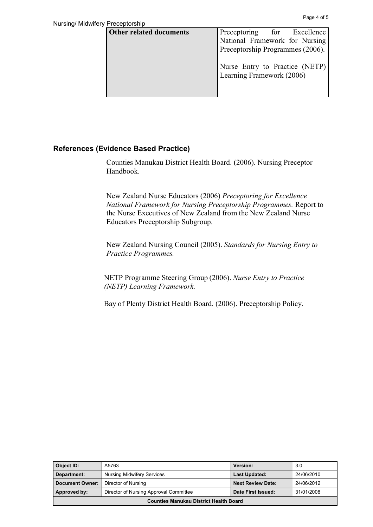| <b>Other related documents</b> | Preceptoring for Excellence                                 |
|--------------------------------|-------------------------------------------------------------|
|                                | National Framework for Nursing                              |
|                                | Preceptorship Programmes (2006).                            |
|                                | Nurse Entry to Practice (NETP)<br>Learning Framework (2006) |

## **References (Evidence Based Practice)**

Counties Manukau District Health Board. (2006). Nursing Preceptor Handbook.

New Zealand Nurse Educators (2006) *Preceptoring for Excellence National Framework for Nursing Preceptorship Programmes.* Report to the Nurse Executives of New Zealand from the New Zealand Nurse Educators Preceptorship Subgroup.

New Zealand Nursing Council (2005). *Standards for Nursing Entry to Practice Programmes.*

NETP Programme Steering Group (2006). *Nurse Entry to Practice (NETP) Learning Framework.*

Bay of Plenty District Health Board. (2006). Preceptorship Policy.

| Object ID:                                    | A5763                                  | Version:                 | 3.0        |
|-----------------------------------------------|----------------------------------------|--------------------------|------------|
| Department:                                   | <b>Nursing Midwifery Services</b>      | <b>Last Updated:</b>     | 24/06/2010 |
| <b>Document Owner:</b>                        | Director of Nursing                    | <b>Next Review Date:</b> | 24/06/2012 |
| Approved by:                                  | Director of Nursing Approval Committee | Date First Issued:       | 31/01/2008 |
| <b>Counties Manukau District Health Board</b> |                                        |                          |            |